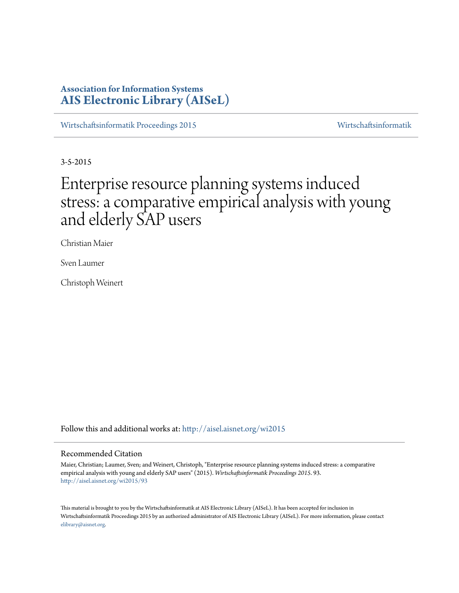## **Association for Information Systems [AIS Electronic Library \(AISeL\)](http://aisel.aisnet.org?utm_source=aisel.aisnet.org%2Fwi2015%2F93&utm_medium=PDF&utm_campaign=PDFCoverPages)**

[Wirtschaftsinformatik Proceedings 2015](http://aisel.aisnet.org/wi2015?utm_source=aisel.aisnet.org%2Fwi2015%2F93&utm_medium=PDF&utm_campaign=PDFCoverPages) [Wirtschaftsinformatik](http://aisel.aisnet.org/wi?utm_source=aisel.aisnet.org%2Fwi2015%2F93&utm_medium=PDF&utm_campaign=PDFCoverPages)

3-5-2015

# Enterprise resource planning systems induced stress: a comparative empirical analysis with young and elderly SAP users

Christian Maier

Sven Laumer

Christoph Weinert

Follow this and additional works at: [http://aisel.aisnet.org/wi2015](http://aisel.aisnet.org/wi2015?utm_source=aisel.aisnet.org%2Fwi2015%2F93&utm_medium=PDF&utm_campaign=PDFCoverPages)

### Recommended Citation

Maier, Christian; Laumer, Sven; and Weinert, Christoph, "Enterprise resource planning systems induced stress: a comparative empirical analysis with young and elderly SAP users" (2015). *Wirtschaftsinformatik Proceedings 2015*. 93. [http://aisel.aisnet.org/wi2015/93](http://aisel.aisnet.org/wi2015/93?utm_source=aisel.aisnet.org%2Fwi2015%2F93&utm_medium=PDF&utm_campaign=PDFCoverPages)

This material is brought to you by the Wirtschaftsinformatik at AIS Electronic Library (AISeL). It has been accepted for inclusion in Wirtschaftsinformatik Proceedings 2015 by an authorized administrator of AIS Electronic Library (AISeL). For more information, please contact [elibrary@aisnet.org.](mailto:elibrary@aisnet.org%3E)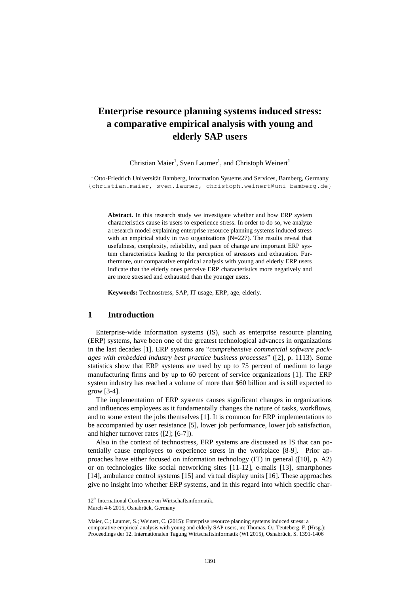# **Enterprise resource planning systems induced stress: a comparative empirical analysis with young and elderly SAP users**

Christian Maier<sup>1</sup>, Sven Laumer<sup>1</sup>, and Christoph Weinert<sup>1</sup>

 $1$ Otto-Friedrich Universität Bamberg, Information Systems and Services, Bamberg, Germany {christian.maier, sven.laumer, christoph.weinert@uni-bamberg.de}

**Abstract.** In this research study we investigate whether and how ERP system characteristics cause its users to experience stress. In order to do so, we analyze a research model explaining enterprise resource planning systems induced stress with an empirical study in two organizations (N=227). The results reveal that usefulness, complexity, reliability, and pace of change are important ERP system characteristics leading to the perception of stressors and exhaustion. Furthermore, our comparative empirical analysis with young and elderly ERP users indicate that the elderly ones perceive ERP characteristics more negatively and are more stressed and exhausted than the younger users.

**Keywords:** Technostress, SAP, IT usage, ERP, age, elderly.

### **1 Introduction**

Enterprise-wide information systems (IS), such as enterprise resource planning (ERP) systems, have been one of the greatest technological advances in organizations in the last decades [1]. ERP systems are "*comprehensive commercial software packages with embedded industry best practice business processes*" ([2], p. 1113). Some statistics show that ERP systems are used by up to 75 percent of medium to large manufacturing firms and by up to 60 percent of service organizations [1]. The ERP system industry has reached a volume of more than \$60 billion and is still expected to grow [3-4].

The implementation of ERP systems causes significant changes in organizations and influences employees as it fundamentally changes the nature of tasks, workflows, and to some extent the jobs themselves [1]. It is common for ERP implementations to be accompanied by user resistance [5], lower job performance, lower job satisfaction, and higher turnover rates ([2]; [6-7]).

Also in the context of technostress, ERP systems are discussed as IS that can potentially cause employees to experience stress in the workplace [8-9]. Prior approaches have either focused on information technology (IT) in general ([10], p. A2) or on technologies like social networking sites [11-12], e-mails [13], smartphones [14], ambulance control systems [15] and virtual display units [16]. These approaches give no insight into whether ERP systems, and in this regard into which specific char-

<sup>12&</sup>lt;sup>th</sup> International Conference on Wirtschaftsinformatik,

March 4-6 2015, Osnabrück, Germany

Maier, C.; Laumer, S.; Weinert, C. (2015): Enterprise resource planning systems induced stress: a comparative empirical analysis with young and elderly SAP users, in: Thomas. O.; Teuteberg, F. (Hrsg.): Proceedings der 12. Internationalen Tagung Wirtschaftsinformatik (WI 2015), Osnabrück, S. 1391-1406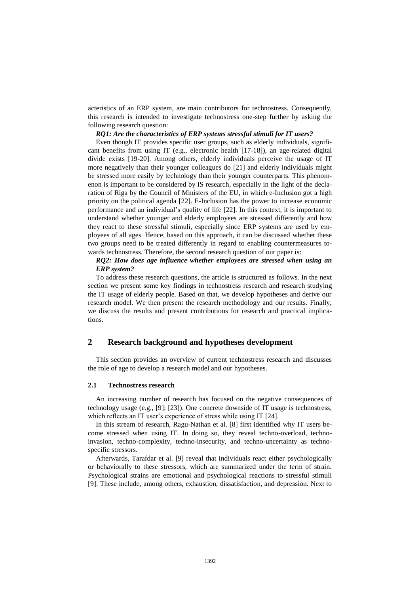acteristics of an ERP system, are main contributors for technostress. Consequently, this research is intended to investigate technostress one-step further by asking the following research question:

### *RQ1: Are the characteristics of ERP systems stressful stimuli for IT users?*

Even though IT provides specific user groups, such as elderly individuals, significant benefits from using IT (e.g., electronic health [17-18]), an age-related digital divide exists [19-20]. Among others, elderly individuals perceive the usage of IT more negatively than their younger colleagues do [21] and elderly individuals might be stressed more easily by technology than their younger counterparts. This phenomenon is important to be considered by IS research, especially in the light of the declaration of Riga by the Council of Ministers of the EU, in which e-Inclusion got a high priority on the political agenda [22]. E-Inclusion has the power to increase economic performance and an individual's quality of life [22]. In this context, it is important to understand whether younger and elderly employees are stressed differently and how they react to these stressful stimuli, especially since ERP systems are used by employees of all ages. Hence, based on this approach, it can be discussed whether these two groups need to be treated differently in regard to enabling countermeasures towards technostress. Therefore, the second research question of our paper is:

### *RQ2: How does age influence whether employees are stressed when using an ERP system?*

To address these research questions, the article is structured as follows. In the next section we present some key findings in technostress research and research studying the IT usage of elderly people. Based on that, we develop hypotheses and derive our research model. We then present the research methodology and our results. Finally, we discuss the results and present contributions for research and practical implications.

### **2 Research background and hypotheses development**

This section provides an overview of current technostress research and discusses the role of age to develop a research model and our hypotheses.

### **2.1 Technostress research**

An increasing number of research has focused on the negative consequences of technology usage (e.g., [9]; [23]). One concrete downside of IT usage is technostress, which reflects an IT user's experience of stress while using IT [24].

In this stream of research, Ragu-Nathan et al. [8] first identified why IT users become stressed when using IT. In doing so, they reveal techno-overload, technoinvasion, techno-complexity, techno-insecurity, and techno-uncertainty as technospecific stressors.

Afterwards, Tarafdar et al. [9] reveal that individuals react either psychologically or behaviorally to these stressors, which are summarized under the term of strain. Psychological strains are emotional and psychological reactions to stressful stimuli [9]. These include, among others, exhaustion, dissatisfaction, and depression. Next to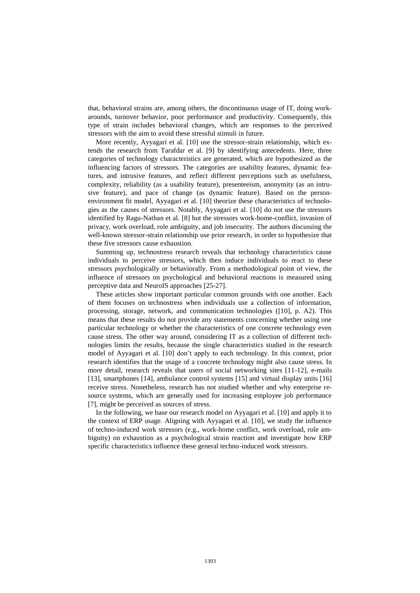that, behavioral strains are, among others, the discontinuous usage of IT, doing workarounds, turnover behavior, poor performance and productivity. Consequently, this type of strain includes behavioral changes, which are responses to the perceived stressors with the aim to avoid these stressful stimuli in future.

More recently, Ayyagari et al. [10] use the stressor-strain relationship, which extends the research from Tarafdar et al. [9] by identifying antecedents. Here, three categories of technology characteristics are generated, which are hypothesized as the influencing factors of stressors. The categories are usability features, dynamic features, and intrusive features, and reflect different perceptions such as usefulness, complexity, reliability (as a usability feature), presenteeism, anonymity (as an intrusive feature), and pace of change (as dynamic feature). Based on the personenvironment fit model, Ayyagari et al. [10] theorize these characteristics of technologies as the causes of stressors. Notably, Ayyagari et al. [10] do not use the stressors identified by Ragu-Nathan et al. [8] but the stressors work-home-conflict, invasion of privacy, work overload, role ambiguity, and job insecurity. The authors discussing the well-known stressor-strain relationship use prior research, in order to hypothesize that these five stressors cause exhaustion.

Summing up, technostress research reveals that technology characteristics cause individuals to perceive stressors, which then induce individuals to react to these stressors psychologically or behaviorally. From a methodological point of view, the influence of stressors on psychological and behavioral reactions is measured using perceptive data and NeuroIS approaches [25-27].

These articles show important particular common grounds with one another. Each of them focuses on technostress when individuals use a collection of information, processing, storage, network, and communication technologies ([10], p. A2). This means that these results do not provide any statements concerning whether using one particular technology or whether the characteristics of one concrete technology even cause stress. The other way around, considering IT as a collection of different technologies limits the results, because the single characteristics studied in the research model of Ayyagari et al. [10] don't apply to each technology. In this context, prior research identifies that the usage of a concrete technology might also cause stress. In more detail, research reveals that users of social networking sites [11-12], e-mails [13], smartphones [14], ambulance control systems [15] and virtual display units [16] receive stress. Nonetheless, research has not studied whether and why enterprise resource systems, which are generally used for increasing employee job performance [7], might be perceived as sources of stress.

In the following, we base our research model on Ayyagari et al. [10] and apply it to the context of ERP usage. Aligning with Ayyagari et al. [10], we study the influence of techno-induced work stressors (e.g., work-home conflict, work overload, role ambiguity) on exhaustion as a psychological strain reaction and investigate how ERP specific characteristics influence these general techno-induced work stressors.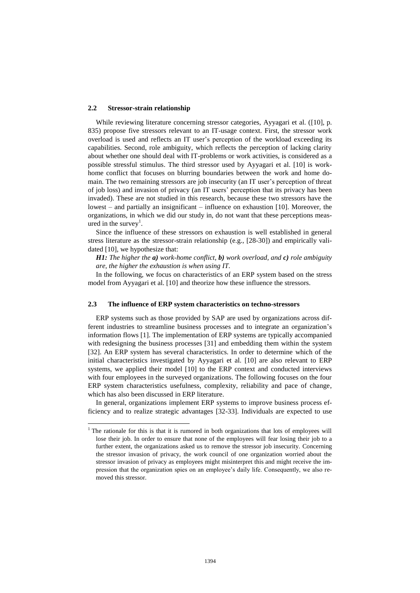### **2.2 Stressor-strain relationship**

 $\overline{a}$ 

While reviewing literature concerning stressor categories, Ayyagari et al. ([10], p. 835) propose five stressors relevant to an IT-usage context. First, the stressor work overload is used and reflects an IT user's perception of the workload exceeding its capabilities. Second, role ambiguity, which reflects the perception of lacking clarity about whether one should deal with IT-problems or work activities, is considered as a possible stressful stimulus. The third stressor used by Ayyagari et al. [10] is workhome conflict that focuses on blurring boundaries between the work and home domain. The two remaining stressors are job insecurity (an IT user's perception of threat of job loss) and invasion of privacy (an IT users' perception that its privacy has been invaded). These are not studied in this research, because these two stressors have the lowest – and partially an insignificant – influence on exhaustion [10]. Moreover, the organizations, in which we did our study in, do not want that these perceptions measured in the survey<sup>1</sup>.

Since the influence of these stressors on exhaustion is well established in general stress literature as the stressor-strain relationship (e.g., [28-30]) and empirically validated [10], we hypothesize that:

*H1: The higher the a) work-home conflict, b) work overload, and c) role ambiguity are, the higher the exhaustion is when using IT.*

In the following, we focus on characteristics of an ERP system based on the stress model from Ayyagari et al. [10] and theorize how these influence the stressors.

### **2.3 The influence of ERP system characteristics on techno-stressors**

ERP systems such as those provided by SAP are used by organizations across different industries to streamline business processes and to integrate an organization's information flows [1]. The implementation of ERP systems are typically accompanied with redesigning the business processes [31] and embedding them within the system [32]. An ERP system has several characteristics. In order to determine which of the initial characteristics investigated by Ayyagari et al. [10] are also relevant to ERP systems, we applied their model [10] to the ERP context and conducted interviews with four employees in the surveyed organizations. The following focuses on the four ERP system characteristics usefulness, complexity, reliability and pace of change, which has also been discussed in ERP literature.

In general, organizations implement ERP systems to improve business process efficiency and to realize strategic advantages [32-33]. Individuals are expected to use

<sup>&</sup>lt;sup>1</sup> The rationale for this is that it is rumored in both organizations that lots of employees will lose their job. In order to ensure that none of the employees will fear losing their job to a further extent, the organizations asked us to remove the stressor job insecurity. Concerning the stressor invasion of privacy, the work council of one organization worried about the stressor invasion of privacy as employees might misinterpret this and might receive the impression that the organization spies on an employee's daily life. Consequently, we also removed this stressor.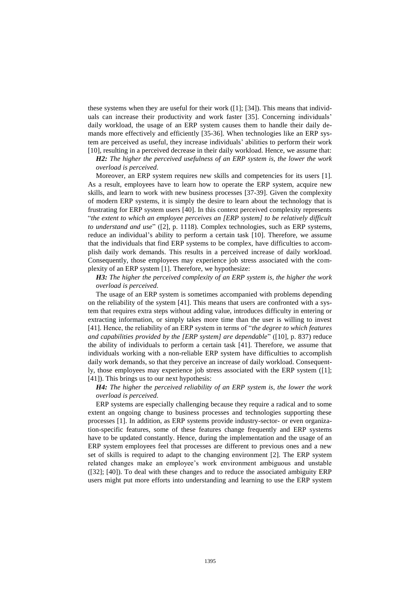these systems when they are useful for their work ([1]; [34]). This means that individuals can increase their productivity and work faster [35]. Concerning individuals' daily workload, the usage of an ERP system causes them to handle their daily demands more effectively and efficiently [35-36]. When technologies like an ERP system are perceived as useful, they increase individuals' abilities to perform their work [10], resulting in a perceived decrease in their daily workload. Hence, we assume that:

*H2: The higher the perceived usefulness of an ERP system is, the lower the work overload is perceived.*

Moreover, an ERP system requires new skills and competencies for its users [1]. As a result, employees have to learn how to operate the ERP system, acquire new skills, and learn to work with new business processes [37-39]. Given the complexity of modern ERP systems, it is simply the desire to learn about the technology that is frustrating for ERP system users [40]. In this context perceived complexity represents "*the extent to which an employee perceives an [ERP system] to be relatively difficult to understand and use*" ([2], p. 1118). Complex technologies, such as ERP systems, reduce an individual's ability to perform a certain task [10]. Therefore, we assume that the individuals that find ERP systems to be complex, have difficulties to accomplish daily work demands. This results in a perceived increase of daily workload. Consequently, those employees may experience job stress associated with the complexity of an ERP system [1]. Therefore, we hypothesize:

*H3: The higher the perceived complexity of an ERP system is, the higher the work overload is perceived.*

The usage of an ERP system is sometimes accompanied with problems depending on the reliability of the system [41]. This means that users are confronted with a system that requires extra steps without adding value, introduces difficulty in entering or extracting information, or simply takes more time than the user is willing to invest [41]. Hence, the reliability of an ERP system in terms of "*the degree to which features and capabilities provided by the [ERP system] are dependable*" ([10], p. 837) reduce the ability of individuals to perform a certain task [41]. Therefore, we assume that individuals working with a non-reliable ERP system have difficulties to accomplish daily work demands, so that they perceive an increase of daily workload. Consequently, those employees may experience job stress associated with the ERP system ([1]; [41]). This brings us to our next hypothesis:

*H4: The higher the perceived reliability of an ERP system is, the lower the work overload is perceived.*

ERP systems are especially challenging because they require a radical and to some extent an ongoing change to business processes and technologies supporting these processes [1]. In addition, as ERP systems provide industry-sector- or even organization-specific features, some of these features change frequently and ERP systems have to be updated constantly. Hence, during the implementation and the usage of an ERP system employees feel that processes are different to previous ones and a new set of skills is required to adapt to the changing environment [2]. The ERP system related changes make an employee's work environment ambiguous and unstable ([32]; [40]). To deal with these changes and to reduce the associated ambiguity ERP users might put more efforts into understanding and learning to use the ERP system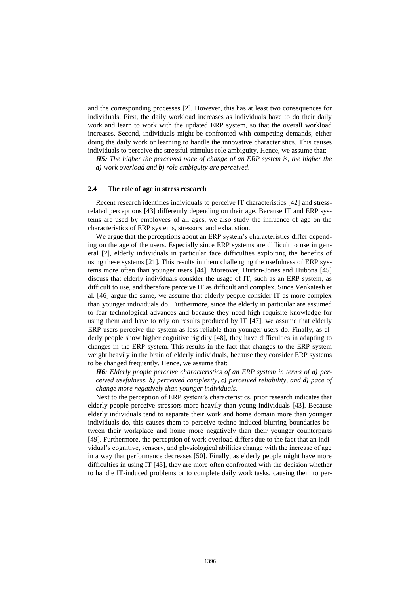and the corresponding processes [2]. However, this has at least two consequences for individuals. First, the daily workload increases as individuals have to do their daily work and learn to work with the updated ERP system, so that the overall workload increases. Second, individuals might be confronted with competing demands; either doing the daily work or learning to handle the innovative characteristics. This causes individuals to perceive the stressful stimulus role ambiguity. Hence, we assume that:

*H5: The higher the perceived pace of change of an ERP system is, the higher the a) work overload and b) role ambiguity are perceived.*

### **2.4 The role of age in stress research**

Recent research identifies individuals to perceive IT characteristics [42] and stressrelated perceptions [43] differently depending on their age. Because IT and ERP systems are used by employees of all ages, we also study the influence of age on the characteristics of ERP systems, stressors, and exhaustion.

We argue that the perceptions about an ERP system's characteristics differ depending on the age of the users. Especially since ERP systems are difficult to use in general [2], elderly individuals in particular face difficulties exploiting the benefits of using these systems [21]. This results in them challenging the usefulness of ERP systems more often than younger users [44]. Moreover, Burton-Jones and Hubona [45] discuss that elderly individuals consider the usage of IT, such as an ERP system, as difficult to use, and therefore perceive IT as difficult and complex. Since Venkatesh et al. [46] argue the same, we assume that elderly people consider IT as more complex than younger individuals do. Furthermore, since the elderly in particular are assumed to fear technological advances and because they need high requisite knowledge for using them and have to rely on results produced by IT [47], we assume that elderly ERP users perceive the system as less reliable than younger users do. Finally, as elderly people show higher cognitive rigidity [48], they have difficulties in adapting to changes in the ERP system. This results in the fact that changes to the ERP system weight heavily in the brain of elderly individuals, because they consider ERP systems to be changed frequently. Hence, we assume that:

*H6: Elderly people perceive characteristics of an ERP system in terms of a) perceived usefulness, b) perceived complexity, c) perceived reliability, and d) pace of change more negatively than younger individuals.*

Next to the perception of ERP system's characteristics, prior research indicates that elderly people perceive stressors more heavily than young individuals [43]. Because elderly individuals tend to separate their work and home domain more than younger individuals do, this causes them to perceive techno-induced blurring boundaries between their workplace and home more negatively than their younger counterparts [49]. Furthermore, the perception of work overload differs due to the fact that an individual's cognitive, sensory, and physiological abilities change with the increase of age in a way that performance decreases [50]. Finally, as elderly people might have more difficulties in using IT [43], they are more often confronted with the decision whether to handle IT-induced problems or to complete daily work tasks, causing them to per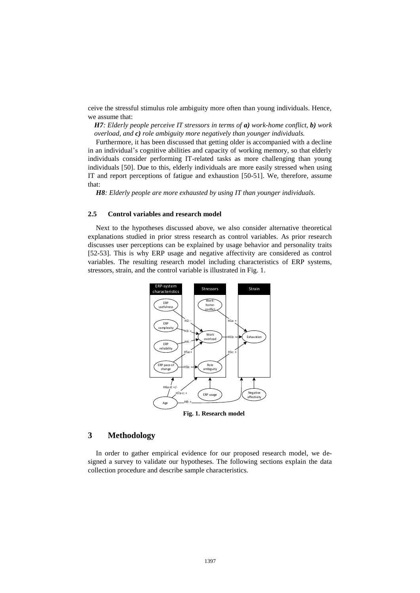ceive the stressful stimulus role ambiguity more often than young individuals. Hence, we assume that:

*H7: Elderly people perceive IT stressors in terms of a) work-home conflict, b) work overload, and c) role ambiguity more negatively than younger individuals.*

Furthermore, it has been discussed that getting older is accompanied with a decline in an individual's cognitive abilities and capacity of working memory, so that elderly individuals consider performing IT-related tasks as more challenging than young individuals [50]. Due to this, elderly individuals are more easily stressed when using IT and report perceptions of fatigue and exhaustion [50-51]. We, therefore, assume that:

*H8: Elderly people are more exhausted by using IT than younger individuals.*

### **2.5 Control variables and research model**

Next to the hypotheses discussed above, we also consider alternative theoretical explanations studied in prior stress research as control variables. As prior research discusses user perceptions can be explained by usage behavior and personality traits [52-53]. This is why ERP usage and negative affectivity are considered as control variables. The resulting research model including characteristics of ERP systems, stressors, strain, and the control variable is illustrated in Fig. 1.



### **3 Methodology**

In order to gather empirical evidence for our proposed research model, we designed a survey to validate our hypotheses. The following sections explain the data collection procedure and describe sample characteristics.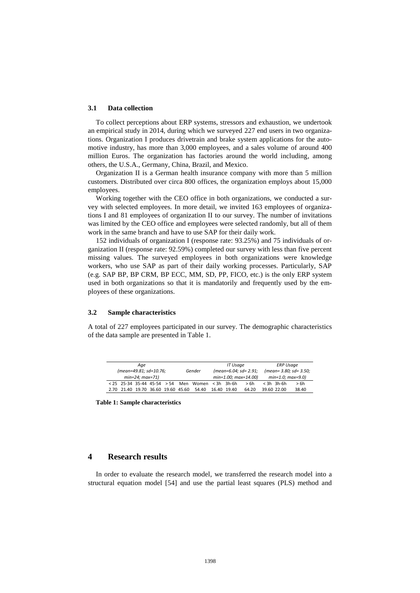### **3.1 Data collection**

To collect perceptions about ERP systems, stressors and exhaustion, we undertook an empirical study in 2014, during which we surveyed 227 end users in two organizations. Organization I produces drivetrain and brake system applications for the automotive industry, has more than 3,000 employees, and a sales volume of around 400 million Euros. The organization has factories around the world including, among others, the U.S.A., Germany, China, Brazil, and Mexico.

Organization II is a German health insurance company with more than 5 million customers. Distributed over circa 800 offices, the organization employs about 15,000 employees.

Working together with the CEO office in both organizations, we conducted a survey with selected employees. In more detail, we invited 163 employees of organizations I and 81 employees of organization II to our survey. The number of invitations was limited by the CEO office and employees were selected randomly, but all of them work in the same branch and have to use SAP for their daily work.

152 individuals of organization I (response rate: 93.25%) and 75 individuals of organization II (response rate: 92.59%) completed our survey with less than five percent missing values. The surveyed employees in both organizations were knowledge workers, who use SAP as part of their daily working processes. Particularly, SAP (e.g. SAP BP, BP CRM, BP ECC, MM, SD, PP, FICO, etc.) is the only ERP system used in both organizations so that it is mandatorily and frequently used by the employees of these organizations.

### **3.2 Sample characteristics**

A total of 227 employees participated in our survey. The demographic characteristics of the data sample are presented in Table 1.

|                                    | Age                    |  |                     | IT Usage    |                        | <b>ERP Usage</b>       |       |
|------------------------------------|------------------------|--|---------------------|-------------|------------------------|------------------------|-------|
|                                    | (mean=49.81; sd=10.76; |  | Gender              |             | $(mean=6.04; sd=2.91;$ | (mean= 3.80: sd= 3.50: |       |
|                                    | $min=24$ : $max=71$ )  |  |                     |             | min=1.00; max=14.00)   | $min=1.0; max=9.0$     |       |
| $< 25$ 25-34 35-44 45-54 $> 54$    |                        |  | Men Women <3h 3h-6h |             | > 6h                   | $<$ 3h 3h-6h           | > 6h  |
| 2.70 21.40 19.70 36.60 19.60 45.60 |                        |  | 54.40               | 16.40 19.40 | 64.20                  | 39.60 22.00            | 38.40 |

**Table 1: Sample characteristics**

### **4 Research results**

In order to evaluate the research model, we transferred the research model into a structural equation model [54] and use the partial least squares (PLS) method and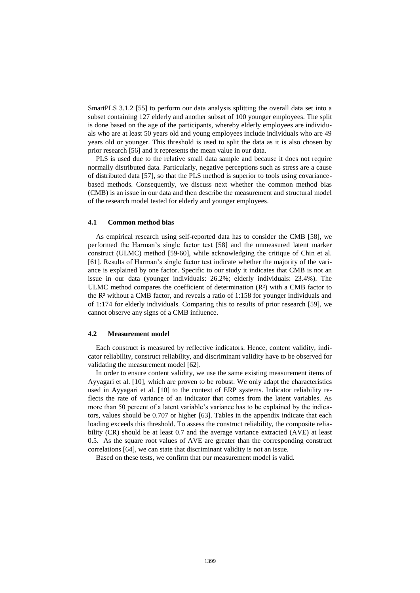SmartPLS 3.1.2 [55] to perform our data analysis splitting the overall data set into a subset containing 127 elderly and another subset of 100 younger employees. The split is done based on the age of the participants, whereby elderly employees are individuals who are at least 50 years old and young employees include individuals who are 49 years old or younger. This threshold is used to split the data as it is also chosen by prior research [56] and it represents the mean value in our data.

PLS is used due to the relative small data sample and because it does not require normally distributed data. Particularly, negative perceptions such as stress are a cause of distributed data [57], so that the PLS method is superior to tools using covariancebased methods. Consequently, we discuss next whether the common method bias (CMB) is an issue in our data and then describe the measurement and structural model of the research model tested for elderly and younger employees.

#### **4.1 Common method bias**

As empirical research using self-reported data has to consider the CMB [58], we performed the Harman's single factor test [58] and the unmeasured latent marker construct (ULMC) method [59-60], while acknowledging the critique of Chin et al. [61]. Results of Harman's single factor test indicate whether the majority of the variance is explained by one factor. Specific to our study it indicates that CMB is not an issue in our data (younger individuals: 26.2%; elderly individuals: 23.4%). The ULMC method compares the coefficient of determination (R²) with a CMB factor to the R² without a CMB factor, and reveals a ratio of 1:158 for younger individuals and of 1:174 for elderly individuals. Comparing this to results of prior research [59], we cannot observe any signs of a CMB influence.

### **4.2 Measurement model**

Each construct is measured by reflective indicators. Hence, content validity, indicator reliability, construct reliability, and discriminant validity have to be observed for validating the measurement model [62].

In order to ensure content validity, we use the same existing measurement items of Ayyagari et al. [10], which are proven to be robust. We only adapt the characteristics used in Ayyagari et al. [10] to the context of ERP systems. Indicator reliability reflects the rate of variance of an indicator that comes from the latent variables. As more than 50 percent of a latent variable's variance has to be explained by the indicators, values should be 0.707 or higher [63]. Tables in the appendix indicate that each loading exceeds this threshold. To assess the construct reliability, the composite reliability (CR) should be at least 0.7 and the average variance extracted (AVE) at least 0.5. As the square root values of AVE are greater than the corresponding construct correlations [64], we can state that discriminant validity is not an issue.

Based on these tests, we confirm that our measurement model is valid.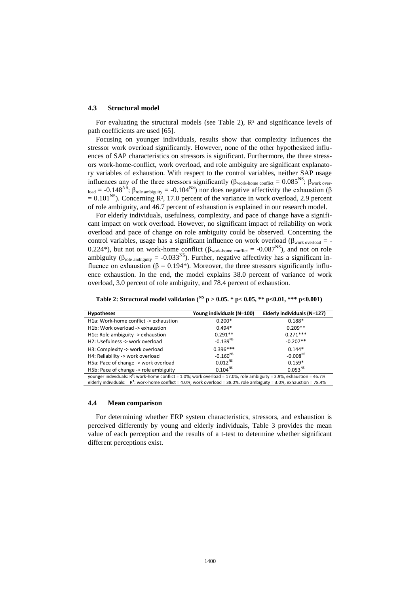### **4.3 Structural model**

For evaluating the structural models (see Table 2),  $\mathbb{R}^2$  and significance levels of path coefficients are used [65].

Focusing on younger individuals, results show that complexity influences the stressor work overload significantly. However, none of the other hypothesized influences of SAP characteristics on stressors is significant. Furthermore, the three stressors work-home-conflict, work overload, and role ambiguity are significant explanatory variables of exhaustion. With respect to the control variables, neither SAP usage influences any of the three stressors significantly ( $\beta_{work\text{-}home \text{ conflict}} = 0.085^{NS}$ ;  $\beta_{work \text{ over}}$  $L_{\text{load}}$  = -0.148<sup>NS</sup>; β<sub>role ambiguity</sub> = -0.104<sup>NS</sup>) nor does negative affectivity the exhaustion (β  $= 0.101^{NS}$ ). Concerning  $\mathbb{R}^2$ , 17.0 percent of the variance in work overload, 2.9 percent of role ambiguity, and 46.7 percent of exhaustion is explained in our research model.

For elderly individuals, usefulness, complexity, and pace of change have a significant impact on work overload. However, no significant impact of reliability on work overload and pace of change on role ambiguity could be observed. Concerning the control variables, usage has a significant influence on work overload ( $\beta_{work\ overload}$  = -0.224\*), but not on work-home conflict ( $\beta_{work\text{-home conflict}} = -0.087^{NS}$ ), and not on role ambiguity ( $\beta_{\text{role ambiguity}} = -0.033^{\text{NS}}$ ). Further, negative affectivity has a significant influence on exhaustion ( $\beta = 0.194$ <sup>\*</sup>). Moreover, the three stressors significantly influence exhaustion. In the end, the model explains 38.0 percent of variance of work overload, 3.0 percent of role ambiguity, and 78.4 percent of exhaustion.

| <b>Hypotheses</b>                                                                                                        | Young individuals (N=100) | Elderly individuals (N=127) |
|--------------------------------------------------------------------------------------------------------------------------|---------------------------|-----------------------------|
| H1a: Work-home conflict -> exhaustion                                                                                    | $0.200*$                  | $0.188*$                    |
| H1b: Work overload -> exhaustion                                                                                         | $0.494*$                  | $0.209**$                   |
| H1c: Role ambiguity -> exhaustion                                                                                        | $0.291**$                 | $0.271***$                  |
| H2: Usefulness -> work overload                                                                                          | $-0.139^{NS}$             | $-0.207**$                  |
| H3: Complexity -> work overload                                                                                          | $0.396***$                | $0.144*$                    |
| H4: Reliability -> work overload                                                                                         | $-0.160^{NS}$             | $-0.008^{NS}$               |
| H5a: Pace of change -> work overload                                                                                     | $0.012^{NS}$              | $0.159*$                    |
| H5b: Pace of change -> role ambiguity                                                                                    | $0.104^{NS}$              | $0.053^{NS}$                |
| vounger individuals: $R^2$ : work-home conflict = 1.0%; work overload = 17.0%, role ambiguity = 2.9%, exhaustion = 46.7% |                           |                             |

**Table 2: Structural model validation ( NS p > 0.05. \* p< 0.05, \*\* p<0.01, \*\*\* p<0.001)**

younger individuals: R²: work-home conflict = 1.0%; work overload = 17.0%, role ambiguity = 2.9%, exhaustion = 46.7% elderly individuals: R²: work-home conflict = 4.0%; work overload = 38.0%, role ambiguity = 3.0%, exhaustion = 78.4%

### **4.4 Mean comparison**

For determining whether ERP system characteristics, stressors, and exhaustion is perceived differently by young and elderly individuals, Table 3 provides the mean value of each perception and the results of a t-test to determine whether significant different perceptions exist.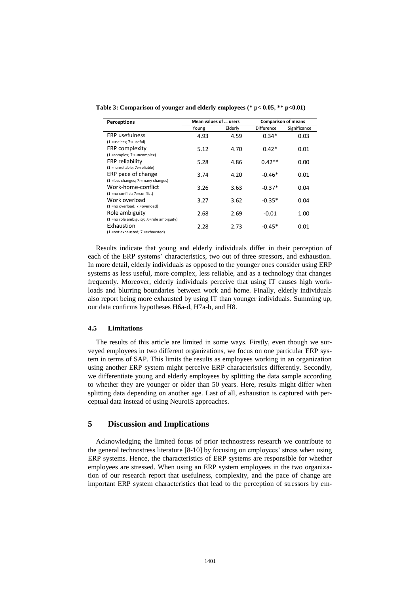| <b>Perceptions</b>                                          | Mean values of  users |         | <b>Comparison of means</b> |              |  |
|-------------------------------------------------------------|-----------------------|---------|----------------------------|--------------|--|
|                                                             | Young                 | Elderly | Difference                 | Significance |  |
| <b>ERP</b> usefulness<br>(1:=useless; 7:=useful)            | 4.93                  | 4.59    | $0.34*$                    | 0.03         |  |
| ERP complexity<br>(1:=complex; 7:=uncomplex)                | 5.12                  | 4.70    | $0.42*$                    | 0.01         |  |
| ERP reliability<br>(1:= unreliable; 7:=reliable)            | 5.28                  | 4.86    | $0.42**$                   | 0.00         |  |
| ERP pace of change<br>(1:=less changes; 7:=many changes)    | 3.74                  | 4.20    | $-0.46*$                   | 0.01         |  |
| Work-home-conflict<br>(1:=no conflict; 7:=conflict)         | 3.26                  | 3.63    | $-0.37*$                   | 0.04         |  |
| Work overload<br>(1:=no overload; 7:=overload)              | 3.27                  | 3.62    | $-0.35*$                   | 0.04         |  |
| Role ambiguity<br>(1:=no role ambiguity; 7:=role ambiguity) | 2.68                  | 2.69    | $-0.01$                    | 1.00         |  |
| Exhaustion<br>(1:=not exhausted; 7:=exhausted)              | 2.28                  | 2.73    | $-0.45*$                   | 0.01         |  |

**Table 3: Comparison of younger and elderly employees (\* p< 0.05, \*\* p<0.01)**

Results indicate that young and elderly individuals differ in their perception of each of the ERP systems' characteristics, two out of three stressors, and exhaustion. In more detail, elderly individuals as opposed to the younger ones consider using ERP systems as less useful, more complex, less reliable, and as a technology that changes frequently. Moreover, elderly individuals perceive that using IT causes high workloads and blurring boundaries between work and home. Finally, elderly individuals also report being more exhausted by using IT than younger individuals. Summing up, our data confirms hypotheses H6a-d, H7a-b, and H8.

### **4.5 Limitations**

The results of this article are limited in some ways. Firstly, even though we surveyed employees in two different organizations, we focus on one particular ERP system in terms of SAP. This limits the results as employees working in an organization using another ERP system might perceive ERP characteristics differently. Secondly, we differentiate young and elderly employees by splitting the data sample according to whether they are younger or older than 50 years. Here, results might differ when splitting data depending on another age. Last of all, exhaustion is captured with perceptual data instead of using NeuroIS approaches.

### **5 Discussion and Implications**

Acknowledging the limited focus of prior technostress research we contribute to the general technostress literature [8-10] by focusing on employees' stress when using ERP systems. Hence, the characteristics of ERP systems are responsible for whether employees are stressed. When using an ERP system employees in the two organization of our research report that usefulness, complexity, and the pace of change are important ERP system characteristics that lead to the perception of stressors by em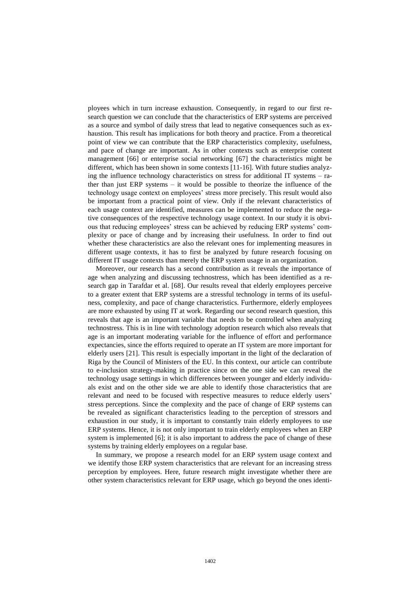ployees which in turn increase exhaustion. Consequently, in regard to our first research question we can conclude that the characteristics of ERP systems are perceived as a source and symbol of daily stress that lead to negative consequences such as exhaustion. This result has implications for both theory and practice. From a theoretical point of view we can contribute that the ERP characteristics complexity, usefulness, and pace of change are important. As in other contexts such as enterprise content management [66] or enterprise social networking [67] the characteristics might be different, which has been shown in some contexts [11-16]. With future studies analyzing the influence technology characteristics on stress for additional IT systems  $-$  rather than just ERP systems – it would be possible to theorize the influence of the technology usage context on employees' stress more precisely. This result would also be important from a practical point of view. Only if the relevant characteristics of each usage context are identified, measures can be implemented to reduce the negative consequences of the respective technology usage context. In our study it is obvious that reducing employees' stress can be achieved by reducing ERP systems' complexity or pace of change and by increasing their usefulness. In order to find out whether these characteristics are also the relevant ones for implementing measures in different usage contexts, it has to first be analyzed by future research focusing on different IT usage contexts than merely the ERP system usage in an organization.

Moreover, our research has a second contribution as it reveals the importance of age when analyzing and discussing technostress, which has been identified as a research gap in Tarafdar et al. [68]. Our results reveal that elderly employees perceive to a greater extent that ERP systems are a stressful technology in terms of its usefulness, complexity, and pace of change characteristics. Furthermore, elderly employees are more exhausted by using IT at work. Regarding our second research question, this reveals that age is an important variable that needs to be controlled when analyzing technostress. This is in line with technology adoption research which also reveals that age is an important moderating variable for the influence of effort and performance expectancies, since the efforts required to operate an IT system are more important for elderly users [21]. This result is especially important in the light of the declaration of Riga by the Council of Ministers of the EU. In this context, our article can contribute to e-inclusion strategy-making in practice since on the one side we can reveal the technology usage settings in which differences between younger and elderly individuals exist and on the other side we are able to identify those characteristics that are relevant and need to be focused with respective measures to reduce elderly users' stress perceptions. Since the complexity and the pace of change of ERP systems can be revealed as significant characteristics leading to the perception of stressors and exhaustion in our study, it is important to constantly train elderly employees to use ERP systems. Hence, it is not only important to train elderly employees when an ERP system is implemented [6]; it is also important to address the pace of change of these systems by training elderly employees on a regular base.

In summary, we propose a research model for an ERP system usage context and we identify those ERP system characteristics that are relevant for an increasing stress perception by employees. Here, future research might investigate whether there are other system characteristics relevant for ERP usage, which go beyond the ones identi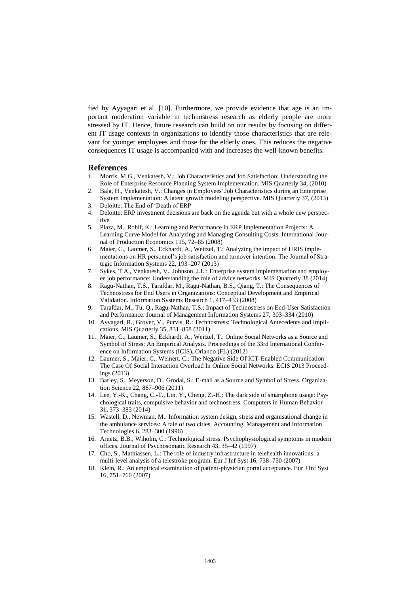fied by Ayyagari et al. [10]. Furthermore, we provide evidence that age is an important moderation variable in technostress research as elderly people are more stressed by IT. Hence, future research can build on our results by focusing on different IT usage contexts in organizations to identify those characteristics that are relevant for younger employees and those for the elderly ones. This reduces the negative consequences IT usage is accompanied with and increases the well-known benefits.

### **References**

- 1. Morris, M.G., Venkatesh, V.: Job Characteristics and Job Satisfaction: Understanding the Role of Enterprise Resource Planning System Implementation. MIS Quarterly 34, (2010)
- 2. Bala, H., Venkatesh, V.: Changes in Employees' Job Characteristics during an Enterprise System Implementation: A latent growth modeling perspective. MIS Quarterly 37, (2013)
- Deloitte: The End of 'Death of ERP
- 4. Deloitte: ERP investment decisions are back on the agenda but with a whole new perspective
- 5. Plaza, M., Rohlf, K.: Learning and Performance in ERP Implementation Projects: A Learning Curve Model for Analyzing and Managing Consulting Costs. International Journal of Production Economics 115, 72–85 (2008)
- 6. Maier, C., Laumer, S., Eckhardt, A., Weitzel, T.: Analyzing the impact of HRIS implementations on HR personnel's job satisfaction and turnover intention. The Journal of Strategic Information Systems 22, 193–207 (2013)
- 7. Sykes, T.A., Venkatesh, V., Johnson, J.L.: Enterprise system implementation and employee job performance: Understanding the role of advice networks. MIS Quarterly 38 (2014)
- 8. Ragu-Nathan, T.S., Tarafdar, M., Ragu-Nathan, B.S., Qiang, T.: The Consequences of Technostress for End Users in Organizations: Conceptual Development and Empirical Validation. Information Systems Research 1, 417–433 (2008)
- 9. Tarafdar, M., Tu, Q., Ragu-Nathan, T.S.: Impact of Technostress on End-User Satisfaction and Performance. Journal of Management Information Systems 27, 303–334 (2010)
- 10. Ayyagari, R., Grover, V., Purvis, R.: Technostress: Technological Antecedents and Implications. MIS Quarterly 35, 831–858 (2011)
- 11. Maier, C., Laumer, S., Eckhardt, A., Weitzel, T.: Online Social Networks as a Source and Symbol of Stress: An Empirical Analysis. Proceedings of the 33rd International Conference on Information Systems (ICIS), Orlando (FL) (2012)
- 12. Laumer, S., Maier, C., Weinert, C.: The Negative Side Of ICT-Enabled Communication: The Case Of Social Interaction Overload In Online Social Networks. ECIS 2013 Proceedings (2013)
- 13. Barley, S., Meyerson, D., Grodal, S.: E-mail as a Source and Symbol of Stress. Organization Science 22, 887–906 (2011)
- 14. Lee, Y.-K., Chang, C.-T., Lin, Y., Cheng, Z.-H.: The dark side of smartphone usage: Psychological traits, compulsive behavior and technostress. Computers in Human Behavior 31, 373–383 (2014)
- 15. Wastell, D., Newman, M.: Information system design, stress and organisational change in the ambulance services: A tale of two cities. Accounting, Management and Information Technologies 6, 283–300 (1996)
- 16. Arnetz, B.B., Wiholm, C.: Technological stress: Psychophysiological symptoms in modern offices. Journal of Psychosomatic Research 43, 35–42 (1997)
- 17. Cho, S., Mathiassen, L.: The role of industry infrastructure in telehealth innovations: a multi-level analysis of a telestroke program. Eur J Inf Syst 16, 738–750 (2007)
- 18. Klein, R.: An empirical examination of patient-physician portal acceptance. Eur J Inf Syst 16, 751–760 (2007)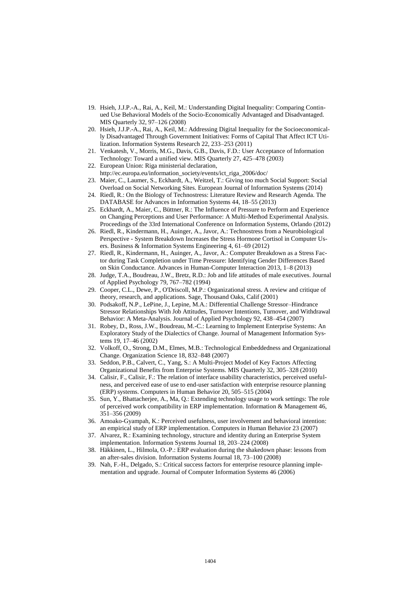- 19. Hsieh, J.J.P.-A., Rai, A., Keil, M.: Understanding Digital Inequality: Comparing Continued Use Behavioral Models of the Socio-Economically Advantaged and Disadvantaged. MIS Quarterly 32, 97–126 (2008)
- 20. Hsieh, J.J.P.-A., Rai, A., Keil, M.: Addressing Digital Inequality for the Socioeconomically Disadvantaged Through Government Initiatives: Forms of Capital That Affect ICT Utilization. Information Systems Research 22, 233–253 (2011)
- 21. Venkatesh, V., Morris, M.G., Davis, G.B., Davis, F.D.: User Acceptance of Information Technology: Toward a unified view. MIS Quarterly 27, 425–478 (2003)
- 22. European Union: Riga ministerial declaration,
- http://ec.europa.eu/information\_society/events/ict\_riga\_2006/doc/
- 23. Maier, C., Laumer, S., Eckhardt, A., Weitzel, T.: Giving too much Social Support: Social Overload on Social Networking Sites. European Journal of Information Systems (2014)
- 24. Riedl, R.: On the Biology of Technostress: Literature Review and Research Agenda. The DATABASE for Advances in Information Systems 44, 18–55 (2013)
- 25. Eckhardt, A., Maier, C., Büttner, R.: The Influence of Pressure to Perform and Experience on Changing Perceptions and User Performance: A Multi-Method Experimental Analysis. Proceedings of the 33rd International Conference on Information Systems, Orlando (2012)
- 26. Riedl, R., Kindermann, H., Auinger, A., Javor, A.: Technostress from a Neurobiological Perspective - System Breakdown Increases the Stress Hormone Cortisol in Computer Users. Business & Information Systems Engineering 4, 61–69 (2012)
- 27. Riedl, R., Kindermann, H., Auinger, A., Javor, A.: Computer Breakdown as a Stress Factor during Task Completion under Time Pressure: Identifying Gender Differences Based on Skin Conductance. Advances in Human-Computer Interaction 2013, 1–8 (2013)
- 28. Judge, T.A., Boudreau, J.W., Bretz, R.D.: Job and life attitudes of male executives. Journal of Applied Psychology 79, 767–782 (1994)
- 29. Cooper, C.L., Dewe, P., O'Driscoll, M.P.: Organizational stress. A review and critique of theory, research, and applications. Sage, Thousand Oaks, Calif (2001)
- 30. Podsakoff, N.P., LePine, J., Lepine, M.A.: Differential Challenge Stressor–Hindrance Stressor Relationships With Job Attitudes, Turnover Intentions, Turnover, and Withdrawal Behavior: A Meta-Analysis. Journal of Applied Psychology 92, 438–454 (2007)
- 31. Robey, D., Ross, J.W., Boudreau, M.-C.: Learning to Implement Enterprise Systems: An Exploratory Study of the Dialectics of Change. Journal of Management Information Systems 19, 17–46 (2002)
- 32. Volkoff, O., Strong, D.M., Elmes, M.B.: Technological Embeddedness and Organizational Change. Organization Science 18, 832–848 (2007)
- 33. Seddon, P.B., Calvert, C., Yang, S.: A Multi-Project Model of Key Factors Affecting Organizational Benefits from Enterprise Systems. MIS Quarterly 32, 305–328 (2010)
- 34. Calisir, F., Calisir, F.: The relation of interface usability characteristics, perceived usefulness, and perceived ease of use to end-user satisfaction with enterprise resource planning (ERP) systems. Computers in Human Behavior 20, 505–515 (2004)
- 35. Sun, Y., Bhattacherjee, A., Ma, Q.: Extending technology usage to work settings: The role of perceived work compatibility in ERP implementation. Information & Management 46, 351–356 (2009)
- 36. Amoako-Gyampah, K.: Perceived usefulness, user involvement and behavioral intention: an empirical study of ERP implementation. Computers in Human Behavior 23 (2007)
- 37. Alvarez, R.: Examining technology, structure and identity during an Enterprise System implementation. Information Systems Journal 18, 203–224 (2008)
- 38. Häkkinen, L., Hilmola, O.-P.: ERP evaluation during the shakedown phase: lessons from an after-sales division. Information Systems Journal 18, 73–100 (2008)
- 39. Nah, F.-H., Delgado, S.: Critical success factors for enterprise resource planning implementation and upgrade. Journal of Computer Information Systems 46 (2006)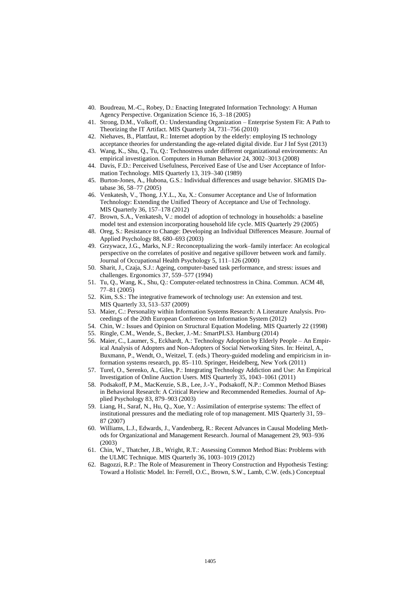- 40. Boudreau, M.-C., Robey, D.: Enacting Integrated Information Technology: A Human Agency Perspective. Organization Science 16, 3–18 (2005)
- 41. Strong, D.M., Volkoff, O.: Understanding Organization Enterprise System Fit: A Path to Theorizing the IT Artifact. MIS Quarterly 34, 731–756 (2010)
- 42. Niehaves, B., Plattfaut, R.: Internet adoption by the elderly: employing IS technology acceptance theories for understanding the age-related digital divide. Eur J Inf Syst (2013)
- 43. Wang, K., Shu, Q., Tu, Q.: Technostress under different organizational environments: An empirical investigation. Computers in Human Behavior 24, 3002–3013 (2008)
- 44. Davis, F.D.: Perceived Usefulness, Perceived Ease of Use and User Acceptance of Information Technology. MIS Quarterly 13, 319–340 (1989)
- 45. Burton-Jones, A., Hubona, G.S.: Individual differences and usage behavior. SIGMIS Database 36, 58–77 (2005)
- 46. Venkatesh, V., Thong, J.Y.L., Xu, X.: Consumer Acceptance and Use of Information Technology: Extending the Unified Theory of Acceptance and Use of Technology. MIS Quarterly 36, 157–178 (2012)
- 47. Brown, S.A., Venkatesh, V.: model of adoption of technology in households: a baseline model test and extension incorporating household life cycle. MIS Quarterly 29 (2005)
- 48. Oreg, S.: Resistance to Change: Developing an Individual Differences Measure. Journal of Applied Psychology 88, 680–693 (2003)
- 49. Grzywacz, J.G., Marks, N.F.: Reconceptualizing the work–family interface: An ecological perspective on the correlates of positive and negative spillover between work and family. Journal of Occupational Health Psychology 5, 111–126 (2000)
- 50. Sharit, J., Czaja, S.J.: Ageing, computer-based task performance, and stress: issues and challenges. Ergonomics 37, 559–577 (1994)
- 51. Tu, Q., Wang, K., Shu, Q.: Computer-related technostress in China. Commun. ACM 48, 77–81 (2005)
- 52. Kim, S.S.: The integrative framework of technology use: An extension and test. MIS Quarterly 33, 513–537 (2009)
- 53. Maier, C.: Personality within Information Systems Research: A Literature Analysis. Proceedings of the 20th European Conference on Information System (2012)
- 54. Chin, W.: Issues and Opinion on Structural Equation Modeling. MIS Quarterly 22 (1998)
- 55. Ringle, C.M., Wende, S., Becker, J.-M.: SmartPLS3. Hamburg (2014)
- 56. Maier, C., Laumer, S., Eckhardt, A.: Technology Adoption by Elderly People An Empirical Analysis of Adopters and Non-Adopters of Social Networking Sites. In: Heinzl, A., Buxmann, P., Wendt, O., Weitzel, T. (eds.) Theory-guided modeling and empiricism in information systems research, pp. 85–110. Springer, Heidelberg, New York (2011)
- 57. Turel, O., Serenko, A., Giles, P.: Integrating Technology Addiction and Use: An Empirical Investigation of Online Auction Users. MIS Quarterly 35, 1043–1061 (2011)
- 58. Podsakoff, P.M., MacKenzie, S.B., Lee, J.-Y., Podsakoff, N.P.: Common Method Biases in Behavioral Research: A Critical Review and Recommended Remedies. Journal of Applied Psychology 83, 879–903 (2003)
- 59. Liang, H., Saraf, N., Hu, Q., Xue, Y.: Assimilation of enterprise systems: The effect of institutional pressures and the mediating role of top management. MIS Quarterly 31, 59– 87 (2007)
- 60. Williams, L.J., Edwards, J., Vandenberg, R.: Recent Advances in Causal Modeling Methods for Organizational and Management Research. Journal of Management 29, 903–936 (2003)
- 61. Chin, W., Thatcher, J.B., Wright, R.T.: Assessing Common Method Bias: Problems with the ULMC Technique. MIS Quarterly 36, 1003–1019 (2012)
- 62. Bagozzi, R.P.: The Role of Measurement in Theory Construction and Hypothesis Testing: Toward a Holistic Model. In: Ferrell, O.C., Brown, S.W., Lamb, C.W. (eds.) Conceptual